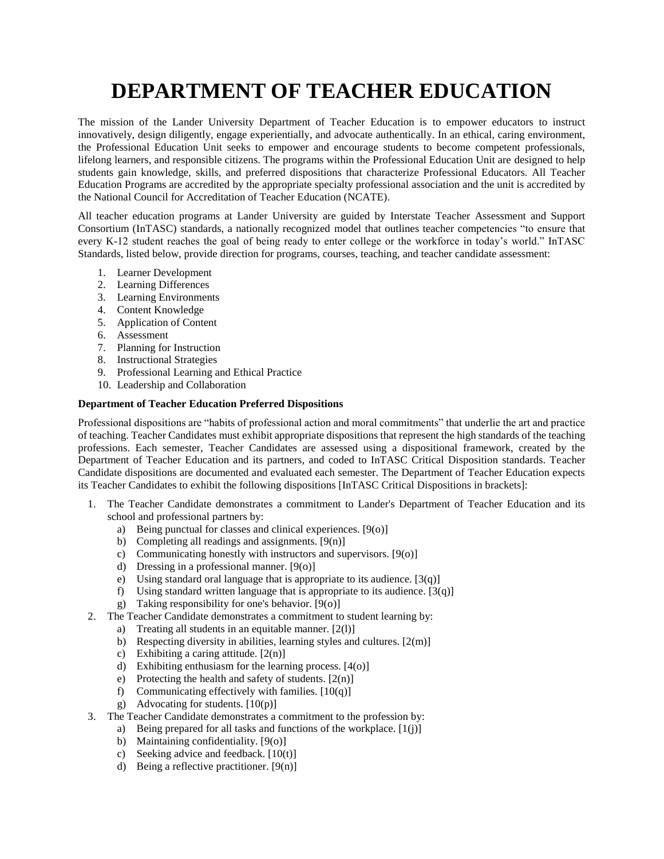# **DEPARTMENT OF TEACHER EDUCATION**

The mission of the Lander University Department of Teacher Education is to empower educators to instruct innovatively, design diligently, engage experientially, and advocate authentically. In an ethical, caring environment, the Professional Education Unit seeks to empower and encourage students to become competent professionals, lifelong learners, and responsible citizens. The programs within the Professional Education Unit are designed to help students gain knowledge, skills, and preferred dispositions that characterize Professional Educators. All Teacher Education Programs are accredited by the appropriate specialty professional association and the unit is accredited by the National Council for Accreditation of Teacher Education (NCATE).

All teacher education programs at Lander University are guided by Interstate Teacher Assessment and Support Consortium (InTASC) standards, a nationally recognized model that outlines teacher competencies "to ensure that every K-12 student reaches the goal of being ready to enter college or the workforce in today's world." InTASC Standards, listed below, provide direction for programs, courses, teaching, and teacher candidate assessment:

- 1. Learner Development
- 2. Learning Differences
- 3. Learning Environments
- 4. Content Knowledge
- 5. Application of Content
- 6. Assessment
- 7. Planning for Instruction
- 8. Instructional Strategies
- 9. Professional Learning and Ethical Practice
- 10. Leadership and Collaboration

#### **Department of Teacher Education Preferred Dispositions**

Professional dispositions are "habits of professional action and moral commitments" that underlie the art and practice of teaching. Teacher Candidates must exhibit appropriate dispositions that represent the high standards of the teaching professions. Each semester, Teacher Candidates are assessed using a dispositional framework, created by the Department of Teacher Education and its partners, and coded to InTASC Critical Disposition standards. Teacher Candidate dispositions are documented and evaluated each semester. The Department of Teacher Education expects its Teacher Candidates to exhibit the following dispositions [InTASC Critical Dispositions in brackets]:

- 1. The Teacher Candidate demonstrates a commitment to Lander's Department of Teacher Education and its school and professional partners by:
	- a) Being punctual for classes and clinical experiences. [9(o)]
	- b) Completing all readings and assignments.  $[9(n)]$
	- c) Communicating honestly with instructors and supervisors. [9(o)]
	- d) Dressing in a professional manner. [9(o)]
	- e) Using standard oral language that is appropriate to its audience.  $[3(q)]$
	- f) Using standard written language that is appropriate to its audience.  $[3(q)]$
	- g) Taking responsibility for one's behavior. [9(o)]
- 2. The Teacher Candidate demonstrates a commitment to student learning by:
	- a) Treating all students in an equitable manner. [2(l)]
	- b) Respecting diversity in abilities, learning styles and cultures.  $[2(m)]$
	- c) Exhibiting a caring attitude.  $[2(n)]$
	- d) Exhibiting enthusiasm for the learning process. [4(o)]
	- e) Protecting the health and safety of students.  $[2(n)]$
	- f) Communicating effectively with families.  $[10(q)]$
	- g) Advocating for students.  $[10(p)]$
- 3. The Teacher Candidate demonstrates a commitment to the profession by:
	- a) Being prepared for all tasks and functions of the workplace. [1(j)]
		- b) Maintaining confidentiality. [9(o)]
		- c) Seeking advice and feedback.  $[10(t)]$
		- d) Being a reflective practitioner.  $[9(n)]$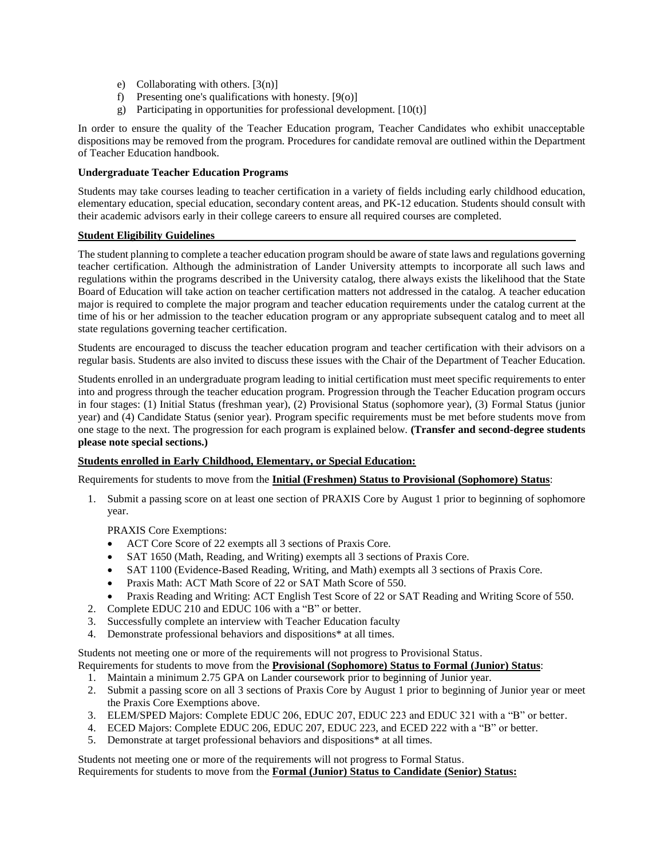- e) Collaborating with others. [3(n)]
- f) Presenting one's qualifications with honesty. [9(o)]
- g) Participating in opportunities for professional development.  $[10(t)]$

In order to ensure the quality of the Teacher Education program, Teacher Candidates who exhibit unacceptable dispositions may be removed from the program. Procedures for candidate removal are outlined within the Department of Teacher Education handbook.

#### **Undergraduate Teacher Education Programs**

Students may take courses leading to teacher certification in a variety of fields including early childhood education, elementary education, special education, secondary content areas, and PK-12 education. Students should consult with their academic advisors early in their college careers to ensure all required courses are completed.

#### **Student Eligibility Guidelines**

The student planning to complete a teacher education program should be aware of state laws and regulations governing teacher certification. Although the administration of Lander University attempts to incorporate all such laws and regulations within the programs described in the University catalog, there always exists the likelihood that the State Board of Education will take action on teacher certification matters not addressed in the catalog. A teacher education major is required to complete the major program and teacher education requirements under the catalog current at the time of his or her admission to the teacher education program or any appropriate subsequent catalog and to meet all state regulations governing teacher certification.

Students are encouraged to discuss the teacher education program and teacher certification with their advisors on a regular basis. Students are also invited to discuss these issues with the Chair of the Department of Teacher Education.

Students enrolled in an undergraduate program leading to initial certification must meet specific requirements to enter into and progress through the teacher education program. Progression through the Teacher Education program occurs in four stages: (1) Initial Status (freshman year), (2) Provisional Status (sophomore year), (3) Formal Status (junior year) and (4) Candidate Status (senior year). Program specific requirements must be met before students move from one stage to the next. The progression for each program is explained below. **(Transfer and second-degree students please note special sections.)**

#### **Students enrolled in Early Childhood, Elementary, or Special Education:**

Requirements for students to move from the **Initial (Freshmen) Status to Provisional (Sophomore) Status**:

1. Submit a passing score on at least one section of PRAXIS Core by August 1 prior to beginning of sophomore year.

PRAXIS Core Exemptions:

- ACT Core Score of 22 exempts all 3 sections of Praxis Core.
- SAT 1650 (Math, Reading, and Writing) exempts all 3 sections of Praxis Core.
- SAT 1100 (Evidence-Based Reading, Writing, and Math) exempts all 3 sections of Praxis Core.
- Praxis Math: ACT Math Score of 22 or SAT Math Score of 550.
- Praxis Reading and Writing: ACT English Test Score of 22 or SAT Reading and Writing Score of 550.
- 2. Complete EDUC 210 and EDUC 106 with a "B" or better.
- 3. Successfully complete an interview with Teacher Education faculty
- 4. Demonstrate professional behaviors and dispositions\* at all times.

Students not meeting one or more of the requirements will not progress to Provisional Status. Requirements for students to move from the **Provisional (Sophomore) Status to Formal (Junior) Status**:

- 1. Maintain a minimum 2.75 GPA on Lander coursework prior to beginning of Junior year.
- 2. Submit a passing score on all 3 sections of Praxis Core by August 1 prior to beginning of Junior year or meet the Praxis Core Exemptions above.
- 3. ELEM/SPED Majors: Complete EDUC 206, EDUC 207, EDUC 223 and EDUC 321 with a "B" or better.
- 4. ECED Majors: Complete EDUC 206, EDUC 207, EDUC 223, and ECED 222 with a "B" or better.
- 5. Demonstrate at target professional behaviors and dispositions\* at all times.

Students not meeting one or more of the requirements will not progress to Formal Status. Requirements for students to move from the **Formal (Junior) Status to Candidate (Senior) Status:**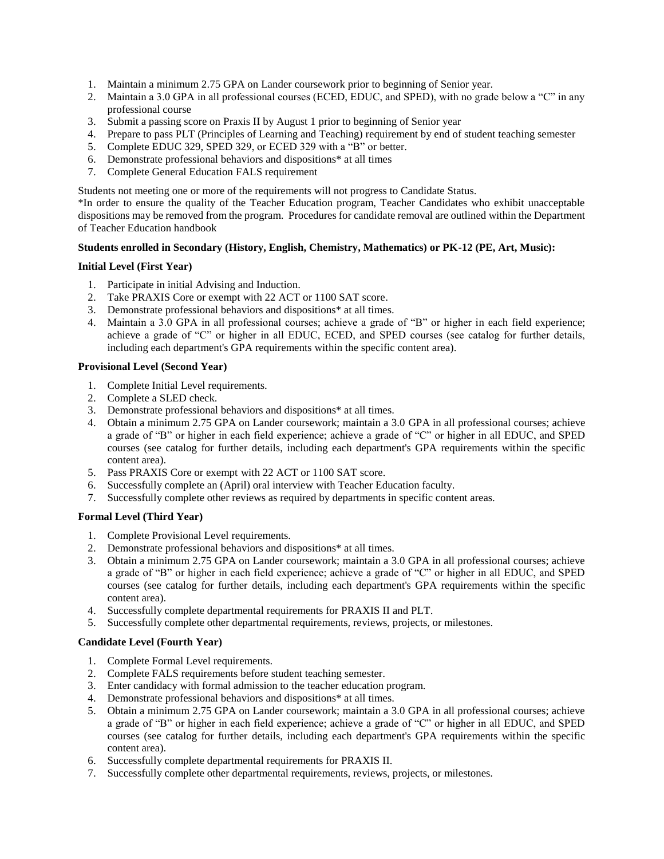- 1. Maintain a minimum 2.75 GPA on Lander coursework prior to beginning of Senior year.
- 2. Maintain a 3.0 GPA in all professional courses (ECED, EDUC, and SPED), with no grade below a "C" in any professional course
- 3. Submit a passing score on Praxis II by August 1 prior to beginning of Senior year
- 4. Prepare to pass PLT (Principles of Learning and Teaching) requirement by end of student teaching semester
- 5. Complete EDUC 329, SPED 329, or ECED 329 with a "B" or better.
- 6. Demonstrate professional behaviors and dispositions\* at all times
- 7. Complete General Education FALS requirement

Students not meeting one or more of the requirements will not progress to Candidate Status.

\*In order to ensure the quality of the Teacher Education program, Teacher Candidates who exhibit unacceptable dispositions may be removed from the program. Procedures for candidate removal are outlined within the Department of Teacher Education handbook

#### **Students enrolled in Secondary (History, English, Chemistry, Mathematics) or PK-12 (PE, Art, Music):**

#### **Initial Level (First Year)**

- 1. Participate in initial Advising and Induction.
- 2. Take PRAXIS Core or exempt with 22 ACT or 1100 SAT score.
- 3. Demonstrate professional behaviors and dispositions\* at all times.
- 4. Maintain a 3.0 GPA in all professional courses; achieve a grade of "B" or higher in each field experience; achieve a grade of "C" or higher in all EDUC, ECED, and SPED courses (see catalog for further details, including each department's GPA requirements within the specific content area).

#### **Provisional Level (Second Year)**

- 1. Complete Initial Level requirements.
- 2. Complete a SLED check.
- 3. Demonstrate professional behaviors and dispositions\* at all times.
- 4. Obtain a minimum 2.75 GPA on Lander coursework; maintain a 3.0 GPA in all professional courses; achieve a grade of "B" or higher in each field experience; achieve a grade of "C" or higher in all EDUC, and SPED courses (see catalog for further details, including each department's GPA requirements within the specific content area).
- 5. Pass PRAXIS Core or exempt with 22 ACT or 1100 SAT score.
- 6. Successfully complete an (April) oral interview with Teacher Education faculty.
- 7. Successfully complete other reviews as required by departments in specific content areas.

#### **Formal Level (Third Year)**

- 1. Complete Provisional Level requirements.
- 2. Demonstrate professional behaviors and dispositions\* at all times.
- 3. Obtain a minimum 2.75 GPA on Lander coursework; maintain a 3.0 GPA in all professional courses; achieve a grade of "B" or higher in each field experience; achieve a grade of "C" or higher in all EDUC, and SPED courses (see catalog for further details, including each department's GPA requirements within the specific content area).
- 4. Successfully complete departmental requirements for PRAXIS II and PLT.
- 5. Successfully complete other departmental requirements, reviews, projects, or milestones.

#### **Candidate Level (Fourth Year)**

- 1. Complete Formal Level requirements.
- 2. Complete FALS requirements before student teaching semester.
- 3. Enter candidacy with formal admission to the teacher education program.
- 4. Demonstrate professional behaviors and dispositions\* at all times.
- 5. Obtain a minimum 2.75 GPA on Lander coursework; maintain a 3.0 GPA in all professional courses; achieve a grade of "B" or higher in each field experience; achieve a grade of "C" or higher in all EDUC, and SPED courses (see catalog for further details, including each department's GPA requirements within the specific content area).
- 6. Successfully complete departmental requirements for PRAXIS II.
- 7. Successfully complete other departmental requirements, reviews, projects, or milestones.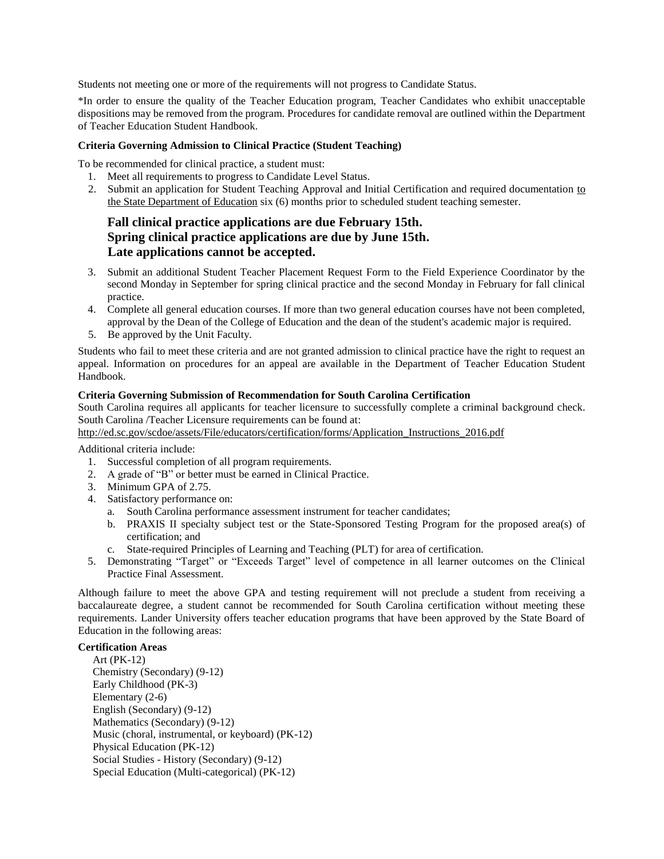Students not meeting one or more of the requirements will not progress to Candidate Status.

\*In order to ensure the quality of the Teacher Education program, Teacher Candidates who exhibit unacceptable dispositions may be removed from the program. Procedures for candidate removal are outlined within the Department of Teacher Education Student Handbook.

#### **Criteria Governing Admission to Clinical Practice (Student Teaching)**

To be recommended for clinical practice, a student must:

- 1. Meet all requirements to progress to Candidate Level Status.
- 2. Submit an application for Student Teaching Approval and Initial Certification and required documentation to the State Department of Education six (6) months prior to scheduled student teaching semester.

### **Fall clinical practice applications are due February 15th. Spring clinical practice applications are due by June 15th. Late applications cannot be accepted.**

- 3. Submit an additional Student Teacher Placement Request Form to the Field Experience Coordinator by the second Monday in September for spring clinical practice and the second Monday in February for fall clinical practice.
- 4. Complete all general education courses. If more than two general education courses have not been completed, approval by the Dean of the College of Education and the dean of the student's academic major is required.
- 5. Be approved by the Unit Faculty.

Students who fail to meet these criteria and are not granted admission to clinical practice have the right to request an appeal. Information on procedures for an appeal are available in the Department of Teacher Education Student Handbook.

#### **Criteria Governing Submission of Recommendation for South Carolina Certification**

South Carolina requires all applicants for teacher licensure to successfully complete a criminal background check. South Carolina /Teacher Licensure requirements can be found at:

[http://ed.sc.gov/scdoe/assets/File/educators/certification/forms/Application\\_Instructions\\_2016.pdf](http://ed.sc.gov/scdoe/assets/File/educators/certification/forms/Application_Instructions_2016.pdf)

Additional criteria include:

- 1. Successful completion of all program requirements.
- 2. A grade of "B" or better must be earned in Clinical Practice.
- 3. Minimum GPA of 2.75.
- 4. Satisfactory performance on:
	- a. South Carolina performance assessment instrument for teacher candidates;
	- b. PRAXIS II specialty subject test or the State-Sponsored Testing Program for the proposed area(s) of certification; and
	- c. State-required Principles of Learning and Teaching (PLT) for area of certification.
- 5. Demonstrating "Target" or "Exceeds Target" level of competence in all learner outcomes on the Clinical Practice Final Assessment.

Although failure to meet the above GPA and testing requirement will not preclude a student from receiving a baccalaureate degree, a student cannot be recommended for South Carolina certification without meeting these requirements. Lander University offers teacher education programs that have been approved by the State Board of Education in the following areas:

#### **Certification Areas**

Art (PK-12) Chemistry (Secondary) (9-12) Early Childhood (PK-3) Elementary (2-6) English (Secondary) (9-12) Mathematics (Secondary) (9-12) Music (choral, instrumental, or keyboard) (PK-12) Physical Education (PK-12) Social Studies - History (Secondary) (9-12) Special Education (Multi-categorical) (PK-12)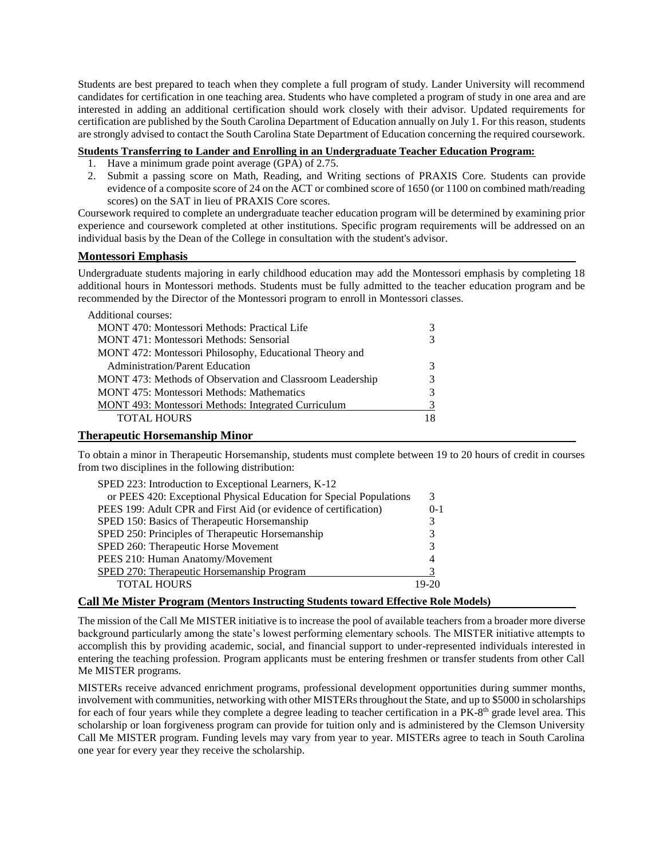Students are best prepared to teach when they complete a full program of study. Lander University will recommend candidates for certification in one teaching area. Students who have completed a program of study in one area and are interested in adding an additional certification should work closely with their advisor. Updated requirements for certification are published by the South Carolina Department of Education annually on July 1. For this reason, students are strongly advised to contact the South Carolina State Department of Education concerning the required coursework.

#### **Students Transferring to Lander and Enrolling in an Undergraduate Teacher Education Program:**

- 1. Have a minimum grade point average (GPA) of 2.75.
- 2. Submit a passing score on Math, Reading, and Writing sections of PRAXIS Core. Students can provide evidence of a composite score of 24 on the ACT or combined score of 1650 (or 1100 on combined math/reading scores) on the SAT in lieu of PRAXIS Core scores.

Coursework required to complete an undergraduate teacher education program will be determined by examining prior experience and coursework completed at other institutions. Specific program requirements will be addressed on an individual basis by the Dean of the College in consultation with the student's advisor.

#### **Montessori Emphasis**

Undergraduate students majoring in early childhood education may add the Montessori emphasis by completing 18 additional hours in Montessori methods. Students must be fully admitted to the teacher education program and be recommended by the Director of the Montessori program to enroll in Montessori classes.

| Additional courses:                                       |   |
|-----------------------------------------------------------|---|
| <b>MONT</b> 470: Montessori Methods: Practical Life       | 3 |
| MONT 471: Montessori Methods: Sensorial                   | 3 |
| MONT 472: Montessori Philosophy, Educational Theory and   |   |
| <b>Administration/Parent Education</b>                    | 3 |
| MONT 473: Methods of Observation and Classroom Leadership | 3 |
| <b>MONT 475: Montessori Methods: Mathematics</b>          | 3 |
| MONT 493: Montessori Methods: Integrated Curriculum       |   |
| <b>TOTAL HOURS</b>                                        |   |
|                                                           |   |

#### **Therapeutic Horsemanship Minor**

To obtain a minor in Therapeutic Horsemanship, students must complete between 19 to 20 hours of credit in courses from two disciplines in the following distribution:

| SPED 223: Introduction to Exceptional Learners, K-12                |         |
|---------------------------------------------------------------------|---------|
| or PEES 420: Exceptional Physical Education for Special Populations | 3       |
| PEES 199: Adult CPR and First Aid (or evidence of certification)    | $0 - 1$ |
| SPED 150: Basics of Therapeutic Horsemanship                        | 3       |
| SPED 250: Principles of Therapeutic Horsemanship                    | 3       |
| SPED 260: Therapeutic Horse Movement                                | 3       |
| PEES 210: Human Anatomy/Movement                                    | 4       |
| SPED 270: Therapeutic Horsemanship Program                          |         |
| <b>TOTAL HOURS</b>                                                  | 19-20   |

#### **Call Me Mister Program (Mentors Instructing Students toward Effective Role Models)**

The mission of the Call Me MISTER initiative is to increase the pool of available teachers from a broader more diverse background particularly among the state's lowest performing elementary schools. The MISTER initiative attempts to accomplish this by providing academic, social, and financial support to under-represented individuals interested in entering the teaching profession. Program applicants must be entering freshmen or transfer students from other Call Me MISTER programs.

MISTERs receive advanced enrichment programs, professional development opportunities during summer months, involvement with communities, networking with other MISTERs throughout the State, and up to \$5000 in scholarships for each of four years while they complete a degree leading to teacher certification in a PK-8<sup>th</sup> grade level area. This scholarship or loan forgiveness program can provide for tuition only and is administered by the Clemson University Call Me MISTER program. Funding levels may vary from year to year. MISTERs agree to teach in South Carolina one year for every year they receive the scholarship.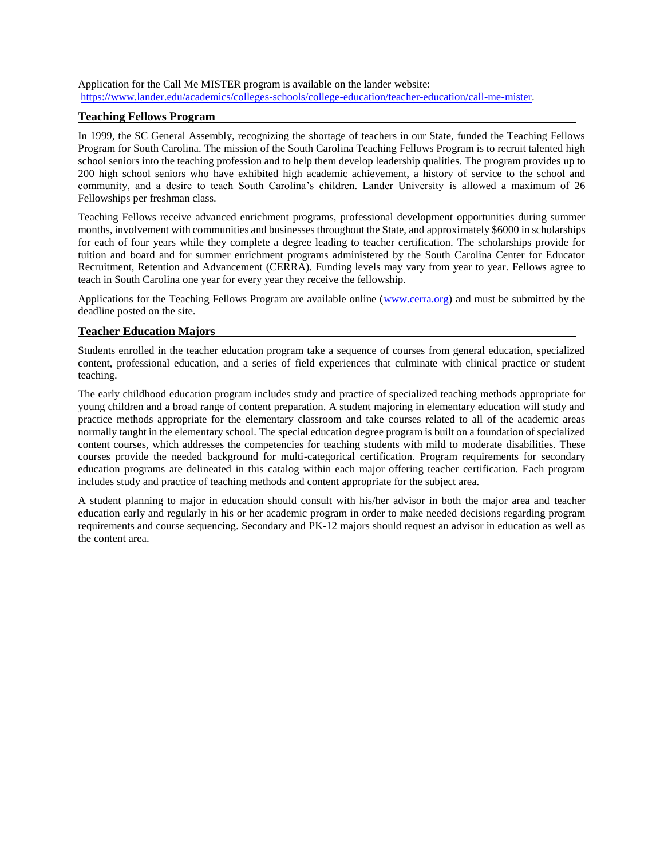Application for the Call Me MISTER program is available on the lander website: [https://www.lander.edu/academics/colleges-schools/college-education/teacher-education/call-me-mister.](https://www.lander.edu/academics/colleges-schools/college-education/teacher-education/call-me-mister)

#### **Teaching Fellows Program**

In 1999, the SC General Assembly, recognizing the shortage of teachers in our State, funded the Teaching Fellows Program for South Carolina. The mission of the South Carolina Teaching Fellows Program is to recruit talented high school seniors into the teaching profession and to help them develop leadership qualities. The program provides up to 200 high school seniors who have exhibited high academic achievement, a history of service to the school and community, and a desire to teach South Carolina's children. Lander University is allowed a maximum of 26 Fellowships per freshman class.

Teaching Fellows receive advanced enrichment programs, professional development opportunities during summer months, involvement with communities and businesses throughout the State, and approximately \$6000 in scholarships for each of four years while they complete a degree leading to teacher certification. The scholarships provide for tuition and board and for summer enrichment programs administered by the South Carolina Center for Educator Recruitment, Retention and Advancement (CERRA). Funding levels may vary from year to year. Fellows agree to teach in South Carolina one year for every year they receive the fellowship.

Applications for the Teaching Fellows Program are available online [\(www.cerra.org\)](http://www.cerra.org/) and must be submitted by the deadline posted on the site.

#### **Teacher Education Majors**

Students enrolled in the teacher education program take a sequence of courses from general education, specialized content, professional education, and a series of field experiences that culminate with clinical practice or student teaching.

The early childhood education program includes study and practice of specialized teaching methods appropriate for young children and a broad range of content preparation. A student majoring in elementary education will study and practice methods appropriate for the elementary classroom and take courses related to all of the academic areas normally taught in the elementary school. The special education degree program is built on a foundation of specialized content courses, which addresses the competencies for teaching students with mild to moderate disabilities. These courses provide the needed background for multi-categorical certification. Program requirements for secondary education programs are delineated in this catalog within each major offering teacher certification. Each program includes study and practice of teaching methods and content appropriate for the subject area.

A student planning to major in education should consult with his/her advisor in both the major area and teacher education early and regularly in his or her academic program in order to make needed decisions regarding program requirements and course sequencing. Secondary and PK-12 majors should request an advisor in education as well as the content area.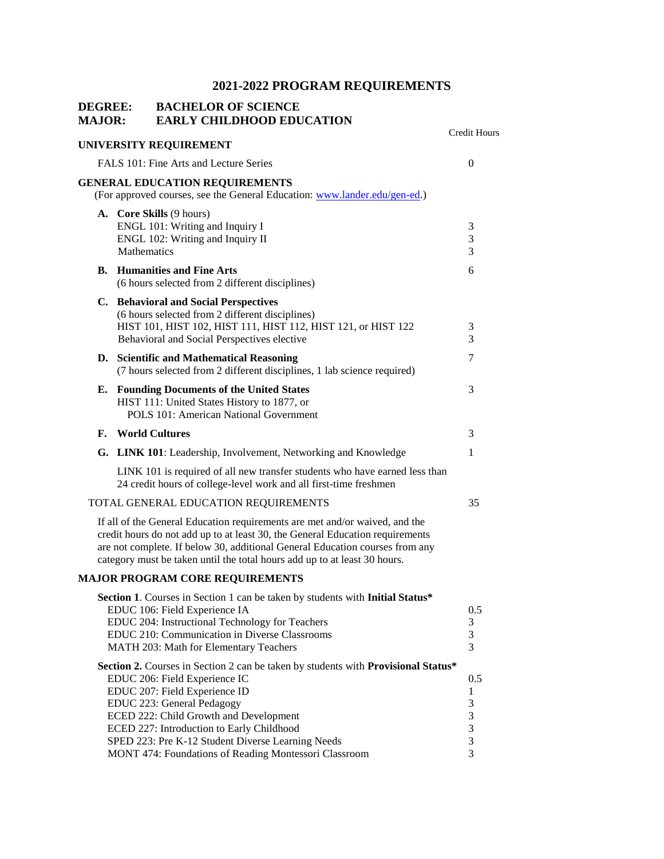| <b>DEGREE:</b><br><b>MAJOR:</b> |             | <b>BACHELOR OF SCIENCE</b><br><b>EARLY CHILDHOOD EDUCATION</b>                                                                                                                                                                                                                                                                                                                         |                                                |
|---------------------------------|-------------|----------------------------------------------------------------------------------------------------------------------------------------------------------------------------------------------------------------------------------------------------------------------------------------------------------------------------------------------------------------------------------------|------------------------------------------------|
|                                 |             | UNIVERSITY REQUIREMENT                                                                                                                                                                                                                                                                                                                                                                 | <b>Credit Hours</b>                            |
|                                 |             | FALS 101: Fine Arts and Lecture Series                                                                                                                                                                                                                                                                                                                                                 | $\overline{0}$                                 |
|                                 |             | <b>GENERAL EDUCATION REQUIREMENTS</b><br>(For approved courses, see the General Education: www.lander.edu/gen-ed.)                                                                                                                                                                                                                                                                     |                                                |
|                                 | Mathematics | A. Core Skills (9 hours)<br>ENGL 101: Writing and Inquiry I<br>ENGL 102: Writing and Inquiry II                                                                                                                                                                                                                                                                                        | 3<br>3<br>3                                    |
|                                 |             | <b>B.</b> Humanities and Fine Arts<br>(6 hours selected from 2 different disciplines)                                                                                                                                                                                                                                                                                                  | 6                                              |
|                                 |             | C. Behavioral and Social Perspectives<br>(6 hours selected from 2 different disciplines)<br>HIST 101, HIST 102, HIST 111, HIST 112, HIST 121, or HIST 122<br>Behavioral and Social Perspectives elective                                                                                                                                                                               | 3<br>3                                         |
|                                 |             | D. Scientific and Mathematical Reasoning<br>(7 hours selected from 2 different disciplines, 1 lab science required)                                                                                                                                                                                                                                                                    | 7                                              |
|                                 |             | <b>E.</b> Founding Documents of the United States<br>HIST 111: United States History to 1877, or<br>POLS 101: American National Government                                                                                                                                                                                                                                             | 3                                              |
|                                 |             | F. World Cultures                                                                                                                                                                                                                                                                                                                                                                      | 3                                              |
|                                 |             | G. LINK 101: Leadership, Involvement, Networking and Knowledge                                                                                                                                                                                                                                                                                                                         | 1                                              |
|                                 |             | LINK 101 is required of all new transfer students who have earned less than<br>24 credit hours of college-level work and all first-time freshmen                                                                                                                                                                                                                                       |                                                |
|                                 |             | TOTAL GENERAL EDUCATION REQUIREMENTS                                                                                                                                                                                                                                                                                                                                                   | 35                                             |
|                                 |             | If all of the General Education requirements are met and/or waived, and the<br>credit hours do not add up to at least 30, the General Education requirements<br>are not complete. If below 30, additional General Education courses from any<br>category must be taken until the total hours add up to at least 30 hours.                                                              |                                                |
|                                 |             | <b>MAJOR PROGRAM CORE REQUIREMENTS</b>                                                                                                                                                                                                                                                                                                                                                 |                                                |
|                                 |             | Section 1. Courses in Section 1 can be taken by students with Initial Status*<br>EDUC 106: Field Experience IA<br>EDUC 204: Instructional Technology for Teachers<br>EDUC 210: Communication in Diverse Classrooms<br>MATH 203: Math for Elementary Teachers                                                                                                                           | 0.5<br>3<br>3<br>3                             |
|                                 |             | Section 2. Courses in Section 2 can be taken by students with Provisional Status*<br>EDUC 206: Field Experience IC<br>EDUC 207: Field Experience ID<br>EDUC 223: General Pedagogy<br>ECED 222: Child Growth and Development<br>ECED 227: Introduction to Early Childhood<br>SPED 223: Pre K-12 Student Diverse Learning Needs<br>MONT 474: Foundations of Reading Montessori Classroom | 0.5<br>1<br>3<br>3<br>3<br>$\mathfrak{Z}$<br>3 |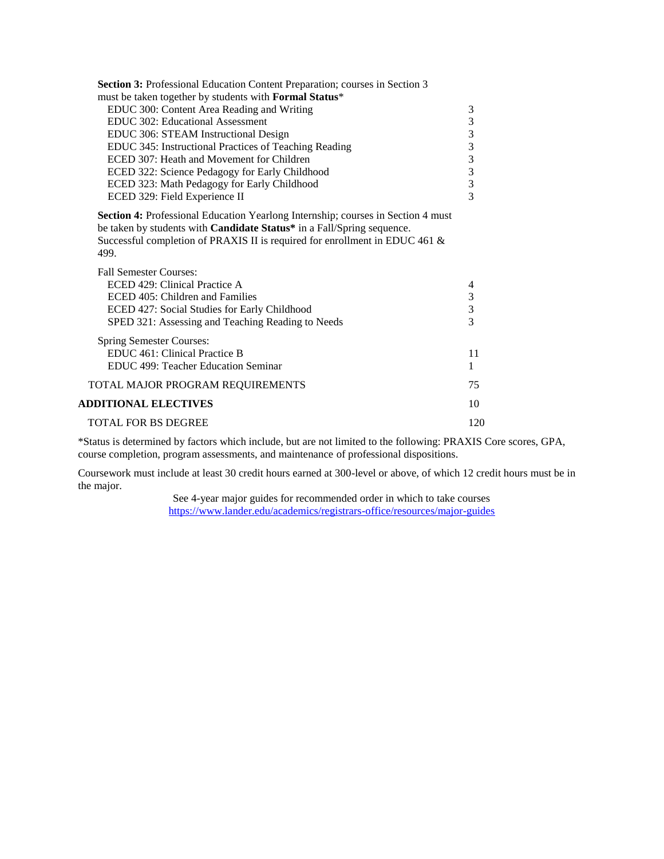| $\mathfrak{Z}$                             |
|--------------------------------------------|
| 33333333                                   |
|                                            |
|                                            |
|                                            |
|                                            |
|                                            |
|                                            |
|                                            |
|                                            |
| 4                                          |
|                                            |
| $\begin{array}{c} 3 \\ 3 \\ 3 \end{array}$ |
|                                            |
|                                            |
| 11                                         |
| 1                                          |
| 75                                         |
| 10                                         |
| 120                                        |
|                                            |

\*Status is determined by factors which include, but are not limited to the following: PRAXIS Core scores, GPA, course completion, program assessments, and maintenance of professional dispositions.

Coursework must include at least 30 credit hours earned at 300-level or above, of which 12 credit hours must be in the major.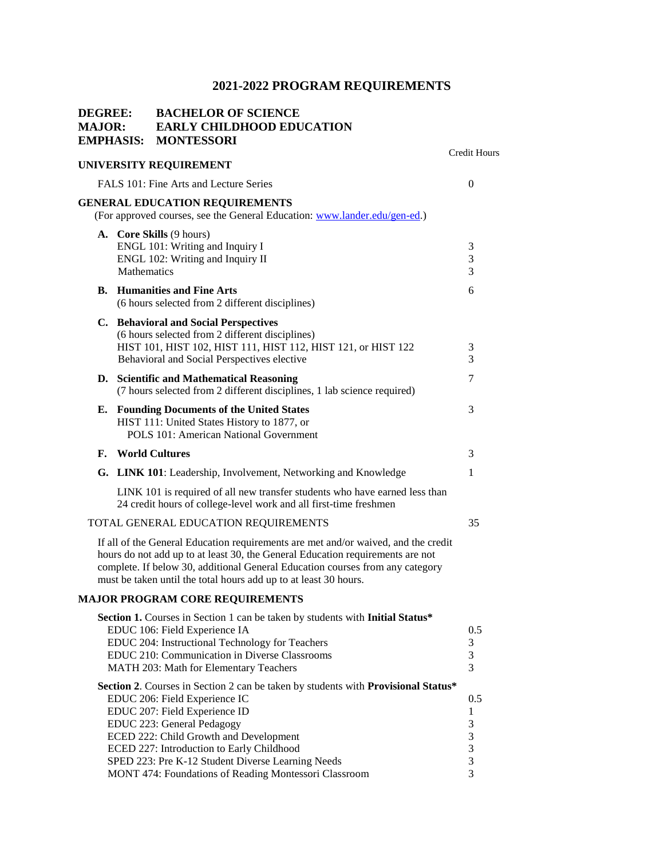| <b>DEGREE:</b><br><b>MAJOR:</b> | <b>EMPHASIS:</b> | <b>BACHELOR OF SCIENCE</b><br><b>EARLY CHILDHOOD EDUCATION</b><br><b>MONTESSORI</b>                                                                                                                                                                                                                                                                                                    |                                         |
|---------------------------------|------------------|----------------------------------------------------------------------------------------------------------------------------------------------------------------------------------------------------------------------------------------------------------------------------------------------------------------------------------------------------------------------------------------|-----------------------------------------|
|                                 |                  | UNIVERSITY REQUIREMENT                                                                                                                                                                                                                                                                                                                                                                 | <b>Credit Hours</b>                     |
|                                 |                  | FALS 101: Fine Arts and Lecture Series                                                                                                                                                                                                                                                                                                                                                 | $\theta$                                |
|                                 |                  | <b>GENERAL EDUCATION REQUIREMENTS</b><br>(For approved courses, see the General Education: www.lander.edu/gen-ed.)                                                                                                                                                                                                                                                                     |                                         |
|                                 | Mathematics      | A. Core Skills (9 hours)<br>ENGL 101: Writing and Inquiry I<br>ENGL 102: Writing and Inquiry II                                                                                                                                                                                                                                                                                        | 3<br>$\mathfrak 3$<br>3                 |
|                                 |                  | <b>B.</b> Humanities and Fine Arts<br>(6 hours selected from 2 different disciplines)                                                                                                                                                                                                                                                                                                  | 6                                       |
|                                 |                  | C. Behavioral and Social Perspectives<br>(6 hours selected from 2 different disciplines)<br>HIST 101, HIST 102, HIST 111, HIST 112, HIST 121, or HIST 122<br>Behavioral and Social Perspectives elective                                                                                                                                                                               | 3<br>3                                  |
|                                 |                  | D. Scientific and Mathematical Reasoning<br>(7 hours selected from 2 different disciplines, 1 lab science required)                                                                                                                                                                                                                                                                    | 7                                       |
| Е.                              |                  | <b>Founding Documents of the United States</b><br>HIST 111: United States History to 1877, or<br>POLS 101: American National Government                                                                                                                                                                                                                                                | 3                                       |
| F.                              |                  | <b>World Cultures</b>                                                                                                                                                                                                                                                                                                                                                                  | 3                                       |
|                                 |                  | G. LINK 101: Leadership, Involvement, Networking and Knowledge                                                                                                                                                                                                                                                                                                                         | 1                                       |
|                                 |                  | LINK 101 is required of all new transfer students who have earned less than<br>24 credit hours of college-level work and all first-time freshmen                                                                                                                                                                                                                                       |                                         |
|                                 |                  | TOTAL GENERAL EDUCATION REQUIREMENTS                                                                                                                                                                                                                                                                                                                                                   | 35                                      |
|                                 |                  | If all of the General Education requirements are met and/or waived, and the credit<br>hours do not add up to at least 30, the General Education requirements are not<br>complete. If below 30, additional General Education courses from any category<br>must be taken until the total hours add up to at least 30 hours.                                                              |                                         |
|                                 |                  | <b>MAJOR PROGRAM CORE REQUIREMENTS</b>                                                                                                                                                                                                                                                                                                                                                 |                                         |
|                                 |                  | Section 1. Courses in Section 1 can be taken by students with Initial Status*<br>EDUC 106: Field Experience IA<br>EDUC 204: Instructional Technology for Teachers<br>EDUC 210: Communication in Diverse Classrooms<br>MATH 203: Math for Elementary Teachers                                                                                                                           | 0.5<br>$\mathfrak 3$<br>$\sqrt{3}$<br>3 |
|                                 |                  | Section 2. Courses in Section 2 can be taken by students with Provisional Status*<br>EDUC 206: Field Experience IC<br>EDUC 207: Field Experience ID<br>EDUC 223: General Pedagogy<br>ECED 222: Child Growth and Development<br>ECED 227: Introduction to Early Childhood<br>SPED 223: Pre K-12 Student Diverse Learning Needs<br>MONT 474: Foundations of Reading Montessori Classroom | 0.5<br>1<br>3<br>3<br>3<br>3<br>3       |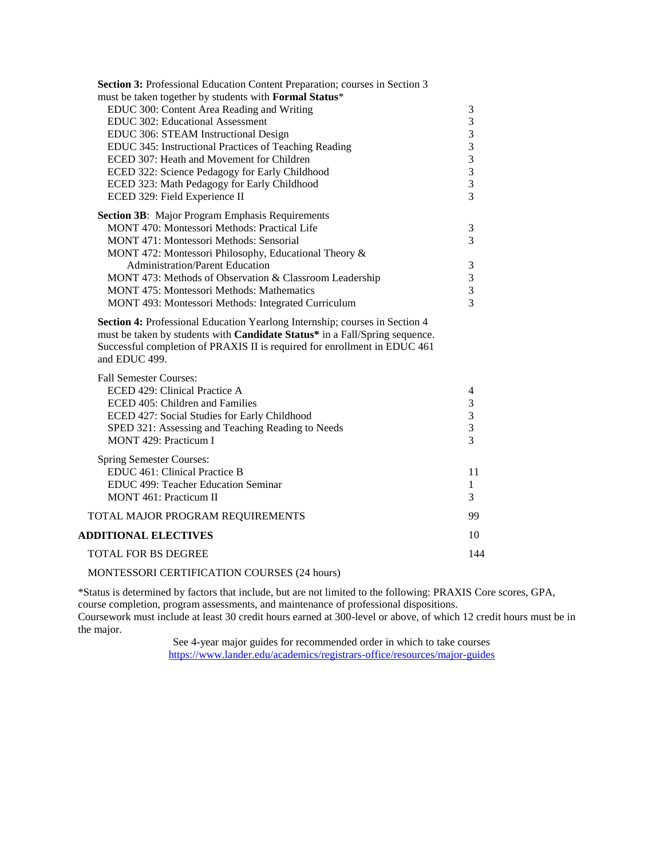| Section 3: Professional Education Content Preparation; courses in Section 3                                                                                                                                                                              |                         |
|----------------------------------------------------------------------------------------------------------------------------------------------------------------------------------------------------------------------------------------------------------|-------------------------|
| must be taken together by students with Formal Status*                                                                                                                                                                                                   |                         |
| EDUC 300: Content Area Reading and Writing                                                                                                                                                                                                               | 3                       |
| EDUC 302: Educational Assessment                                                                                                                                                                                                                         | 3                       |
| EDUC 306: STEAM Instructional Design                                                                                                                                                                                                                     | $\overline{\mathbf{3}}$ |
| EDUC 345: Instructional Practices of Teaching Reading                                                                                                                                                                                                    | $\frac{3}{3}$           |
| ECED 307: Heath and Movement for Children                                                                                                                                                                                                                |                         |
| ECED 322: Science Pedagogy for Early Childhood                                                                                                                                                                                                           | $\frac{3}{3}$           |
| ECED 323: Math Pedagogy for Early Childhood                                                                                                                                                                                                              |                         |
| ECED 329: Field Experience II                                                                                                                                                                                                                            | 3                       |
| Section 3B: Major Program Emphasis Requirements                                                                                                                                                                                                          |                         |
| MONT 470: Montessori Methods: Practical Life                                                                                                                                                                                                             | 3                       |
| MONT 471: Montessori Methods: Sensorial                                                                                                                                                                                                                  | $\overline{3}$          |
| MONT 472: Montessori Philosophy, Educational Theory &                                                                                                                                                                                                    |                         |
| <b>Administration/Parent Education</b>                                                                                                                                                                                                                   | 3                       |
| MONT 473: Methods of Observation & Classroom Leadership                                                                                                                                                                                                  | $\mathfrak 3$           |
| <b>MONT 475: Montessori Methods: Mathematics</b>                                                                                                                                                                                                         | 3                       |
| MONT 493: Montessori Methods: Integrated Curriculum                                                                                                                                                                                                      | 3                       |
| Section 4: Professional Education Yearlong Internship; courses in Section 4<br>must be taken by students with Candidate Status* in a Fall/Spring sequence.<br>Successful completion of PRAXIS II is required for enrollment in EDUC 461<br>and EDUC 499. |                         |
| <b>Fall Semester Courses:</b>                                                                                                                                                                                                                            |                         |
| ECED 429: Clinical Practice A                                                                                                                                                                                                                            | 4                       |
| ECED 405: Children and Families                                                                                                                                                                                                                          | 3                       |
| ECED 427: Social Studies for Early Childhood                                                                                                                                                                                                             | 3                       |
| SPED 321: Assessing and Teaching Reading to Needs                                                                                                                                                                                                        | 3                       |

| MONT 429: Practicum I               |     |
|-------------------------------------|-----|
| Spring Semester Courses:            |     |
| EDUC 461: Clinical Practice B       | 11  |
| EDUC 499: Teacher Education Seminar |     |
| MONT 461: Practicum II              | 3   |
| TOTAL MAJOR PROGRAM REQUIREMENTS    | 99  |
| <b>ADDITIONAL ELECTIVES</b>         | 10  |
| <b>TOTAL FOR BS DEGREE</b>          | 144 |

#### MONTESSORI CERTIFICATION COURSES (24 hours)

\*Status is determined by factors that include, but are not limited to the following: PRAXIS Core scores, GPA, course completion, program assessments, and maintenance of professional dispositions. Coursework must include at least 30 credit hours earned at 300-level or above, of which 12 credit hours must be in the major.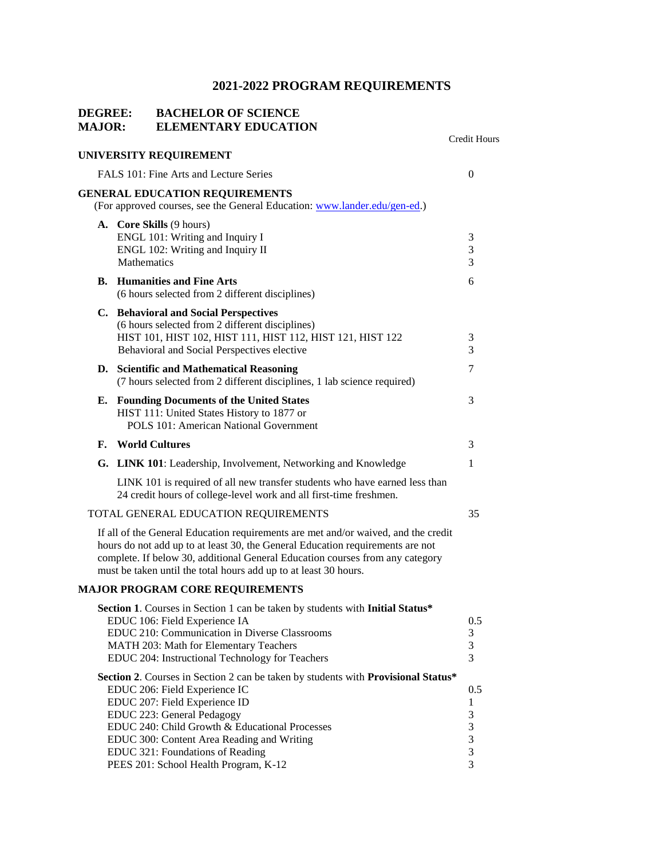### **DEGREE: BACHELOR OF SCIENCE MAJOR: ELEMENTARY EDUCATION**

|    |                                                                                                                                                                                                                                                                                                                                                                | Credit Hours                      |
|----|----------------------------------------------------------------------------------------------------------------------------------------------------------------------------------------------------------------------------------------------------------------------------------------------------------------------------------------------------------------|-----------------------------------|
|    | UNIVERSITY REQUIREMENT                                                                                                                                                                                                                                                                                                                                         |                                   |
|    | FALS 101: Fine Arts and Lecture Series                                                                                                                                                                                                                                                                                                                         | 0                                 |
|    | <b>GENERAL EDUCATION REQUIREMENTS</b><br>(For approved courses, see the General Education: www.lander.edu/gen-ed.)                                                                                                                                                                                                                                             |                                   |
|    | A. Core Skills (9 hours)<br>ENGL 101: Writing and Inquiry I<br>ENGL 102: Writing and Inquiry II<br>Mathematics                                                                                                                                                                                                                                                 | 3<br>3<br>3                       |
|    | <b>B.</b> Humanities and Fine Arts<br>(6 hours selected from 2 different disciplines)                                                                                                                                                                                                                                                                          | 6                                 |
|    | C. Behavioral and Social Perspectives<br>(6 hours selected from 2 different disciplines)<br>HIST 101, HIST 102, HIST 111, HIST 112, HIST 121, HIST 122<br>Behavioral and Social Perspectives elective                                                                                                                                                          | 3<br>3                            |
|    | D. Scientific and Mathematical Reasoning<br>(7 hours selected from 2 different disciplines, 1 lab science required)                                                                                                                                                                                                                                            | 7                                 |
|    | <b>E.</b> Founding Documents of the United States<br>HIST 111: United States History to 1877 or<br>POLS 101: American National Government                                                                                                                                                                                                                      | 3                                 |
| F. | <b>World Cultures</b>                                                                                                                                                                                                                                                                                                                                          | 3                                 |
|    | G. LINK 101: Leadership, Involvement, Networking and Knowledge                                                                                                                                                                                                                                                                                                 | $\mathbf{1}$                      |
|    | LINK 101 is required of all new transfer students who have earned less than<br>24 credit hours of college-level work and all first-time freshmen.                                                                                                                                                                                                              |                                   |
|    | TOTAL GENERAL EDUCATION REQUIREMENTS                                                                                                                                                                                                                                                                                                                           | 35                                |
|    | If all of the General Education requirements are met and/or waived, and the credit<br>hours do not add up to at least 30, the General Education requirements are not<br>complete. If below 30, additional General Education courses from any category<br>must be taken until the total hours add up to at least 30 hours.                                      |                                   |
|    | <b>MAJOR PROGRAM CORE REQUIREMENTS</b>                                                                                                                                                                                                                                                                                                                         |                                   |
|    | Section 1. Courses in Section 1 can be taken by students with Initial Status*<br>EDUC 106: Field Experience IA<br>EDUC 210: Communication in Diverse Classrooms<br>MATH 203: Math for Elementary Teachers<br>EDUC 204: Instructional Technology for Teachers                                                                                                   | 0.5<br>3<br>$\mathfrak{Z}$<br>3   |
|    | Section 2. Courses in Section 2 can be taken by students with Provisional Status*<br>EDUC 206: Field Experience IC<br>EDUC 207: Field Experience ID<br>EDUC 223: General Pedagogy<br>EDUC 240: Child Growth & Educational Processes<br>EDUC 300: Content Area Reading and Writing<br>EDUC 321: Foundations of Reading<br>PEES 201: School Health Program, K-12 | 0.5<br>1<br>3<br>3<br>3<br>3<br>3 |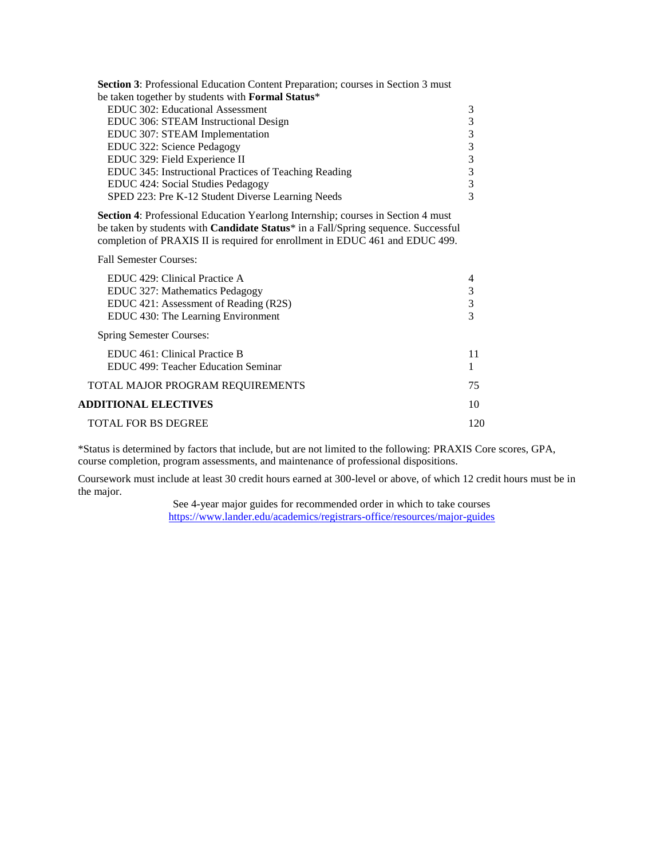| Section 3: Professional Education Content Preparation; courses in Section 3 must |   |
|----------------------------------------------------------------------------------|---|
| be taken together by students with Formal Status*                                |   |
| <b>EDUC 302: Educational Assessment</b>                                          | 3 |
| EDUC 306: STEAM Instructional Design                                             | 3 |
| EDUC 307: STEAM Implementation                                                   | 3 |
| EDUC 322: Science Pedagogy                                                       | 3 |
| EDUC 329: Field Experience II                                                    | 3 |
| EDUC 345: Instructional Practices of Teaching Reading                            | 3 |
| EDUC 424: Social Studies Pedagogy                                                | 3 |
| SPED 223: Pre K-12 Student Diverse Learning Needs                                | 3 |

**Section 4**: Professional Education Yearlong Internship; courses in Section 4 must be taken by students with **Candidate Status**\* in a Fall/Spring sequence. Successful completion of PRAXIS II is required for enrollment in EDUC 461 and EDUC 499.

Fall Semester Courses:

| EDUC 429: Clinical Practice A         |    |
|---------------------------------------|----|
| EDUC 327: Mathematics Pedagogy        | 3  |
| EDUC 421: Assessment of Reading (R2S) | 3  |
| EDUC 430: The Learning Environment    |    |
| Spring Semester Courses:              |    |
| EDUC 461: Clinical Practice B         |    |
| EDUC 499: Teacher Education Seminar   |    |
| TOTAL MAJOR PROGRAM REQUIREMENTS      | 75 |
| <b>ADDITIONAL ELECTIVES</b>           | 10 |
| <b>TOTAL FOR BS DEGREE</b>            |    |

\*Status is determined by factors that include, but are not limited to the following: PRAXIS Core scores, GPA, course completion, program assessments, and maintenance of professional dispositions.

Coursework must include at least 30 credit hours earned at 300-level or above, of which 12 credit hours must be in the major.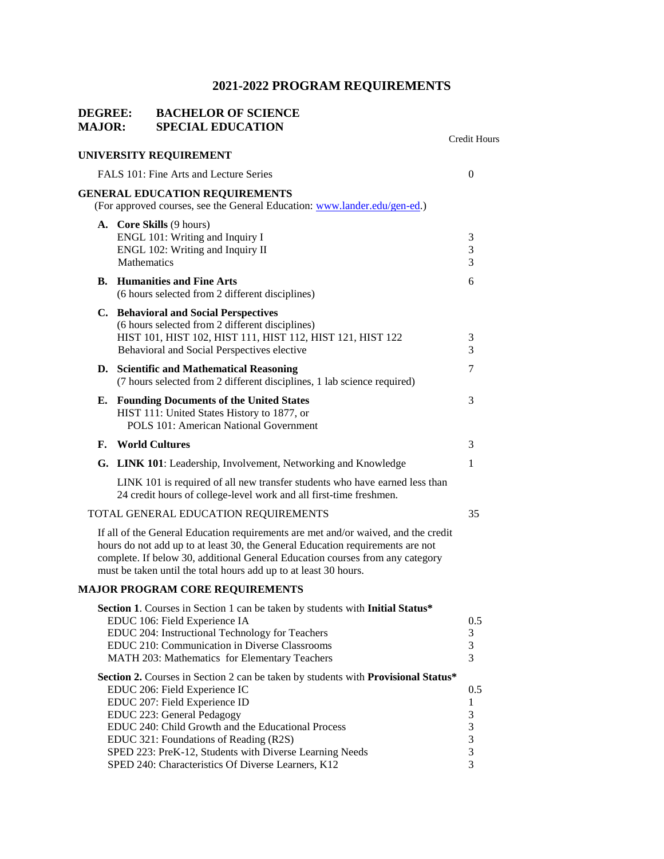### **DEGREE: BACHELOR OF SCIENCE MAJOR: SPECIAL EDUCATION**

|    |                                                                                                                                                                                                                                                                                                                                                                                                    | Credit Hours                      |
|----|----------------------------------------------------------------------------------------------------------------------------------------------------------------------------------------------------------------------------------------------------------------------------------------------------------------------------------------------------------------------------------------------------|-----------------------------------|
|    | UNIVERSITY REQUIREMENT                                                                                                                                                                                                                                                                                                                                                                             |                                   |
|    | FALS 101: Fine Arts and Lecture Series                                                                                                                                                                                                                                                                                                                                                             | $\overline{0}$                    |
|    | <b>GENERAL EDUCATION REQUIREMENTS</b><br>(For approved courses, see the General Education: www.lander.edu/gen-ed.)                                                                                                                                                                                                                                                                                 |                                   |
|    | A. Core Skills (9 hours)<br>ENGL 101: Writing and Inquiry I<br>ENGL 102: Writing and Inquiry II<br>Mathematics                                                                                                                                                                                                                                                                                     | 3<br>3<br>3                       |
|    | <b>B.</b> Humanities and Fine Arts<br>(6 hours selected from 2 different disciplines)                                                                                                                                                                                                                                                                                                              | 6                                 |
|    | C. Behavioral and Social Perspectives<br>(6 hours selected from 2 different disciplines)<br>HIST 101, HIST 102, HIST 111, HIST 112, HIST 121, HIST 122<br>Behavioral and Social Perspectives elective                                                                                                                                                                                              | 3<br>3                            |
|    | D. Scientific and Mathematical Reasoning<br>(7 hours selected from 2 different disciplines, 1 lab science required)                                                                                                                                                                                                                                                                                | 7                                 |
| Е. | <b>Founding Documents of the United States</b><br>HIST 111: United States History to 1877, or<br>POLS 101: American National Government                                                                                                                                                                                                                                                            | 3                                 |
| F. | <b>World Cultures</b>                                                                                                                                                                                                                                                                                                                                                                              | 3                                 |
|    | G. LINK 101: Leadership, Involvement, Networking and Knowledge                                                                                                                                                                                                                                                                                                                                     | 1                                 |
|    | LINK 101 is required of all new transfer students who have earned less than<br>24 credit hours of college-level work and all first-time freshmen.                                                                                                                                                                                                                                                  |                                   |
|    | TOTAL GENERAL EDUCATION REQUIREMENTS                                                                                                                                                                                                                                                                                                                                                               | 35                                |
|    | If all of the General Education requirements are met and/or waived, and the credit<br>hours do not add up to at least 30, the General Education requirements are not<br>complete. If below 30, additional General Education courses from any category<br>must be taken until the total hours add up to at least 30 hours.                                                                          |                                   |
|    | <b>MAJOR PROGRAM CORE REQUIREMENTS</b>                                                                                                                                                                                                                                                                                                                                                             |                                   |
|    | Section 1. Courses in Section 1 can be taken by students with Initial Status*<br>EDUC 106: Field Experience IA<br>EDUC 204: Instructional Technology for Teachers<br>EDUC 210: Communication in Diverse Classrooms<br>MATH 203: Mathematics for Elementary Teachers                                                                                                                                | 0.5<br>3<br>$\mathfrak{Z}$<br>3   |
|    | Section 2. Courses in Section 2 can be taken by students with Provisional Status*<br>EDUC 206: Field Experience IC<br>EDUC 207: Field Experience ID<br>EDUC 223: General Pedagogy<br>EDUC 240: Child Growth and the Educational Process<br>EDUC 321: Foundations of Reading (R2S)<br>SPED 223: PreK-12, Students with Diverse Learning Needs<br>SPED 240: Characteristics Of Diverse Learners, K12 | 0.5<br>1<br>3<br>3<br>3<br>3<br>3 |